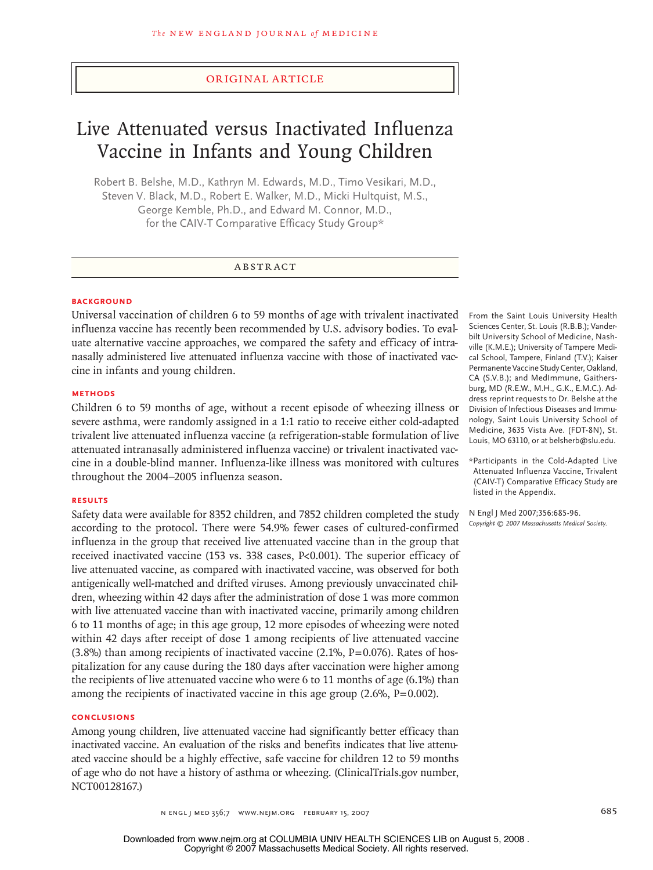## original article

# Live Attenuated versus Inactivated Influenza Vaccine in Infants and Young Children

Robert B. Belshe, M.D., Kathryn M. Edwards, M.D., Timo Vesikari, M.D., Steven V. Black, M.D., Robert E. Walker, M.D., Micki Hultquist, M.S., George Kemble, Ph.D., and Edward M. Connor, M.D., for the CAIV-T Comparative Efficacy Study Group\*

# **ABSTRACT**

#### **BACKGROUND**

Universal vaccination of children 6 to 59 months of age with trivalent inactivated influenza vaccine has recently been recommended by U.S. advisory bodies. To evaluate alternative vaccine approaches, we compared the safety and efficacy of intranasally administered live attenuated influenza vaccine with those of inactivated vaccine in infants and young children.

## **Methods**

Children 6 to 59 months of age, without a recent episode of wheezing illness or severe asthma, were randomly assigned in a 1:1 ratio to receive either cold-adapted trivalent live attenuated influenza vaccine (a refrigeration-stable formulation of live attenuated intranasally administered influenza vaccine) or trivalent inactivated vaccine in a double-blind manner. Influenza-like illness was monitored with cultures throughout the 2004–2005 influenza season.

#### **Results**

Safety data were available for 8352 children, and 7852 children completed the study according to the protocol. There were 54.9% fewer cases of cultured-confirmed influenza in the group that received live attenuated vaccine than in the group that received inactivated vaccine (153 vs. 338 cases, P<0.001). The superior efficacy of live attenuated vaccine, as compared with inactivated vaccine, was observed for both antigenically well-matched and drifted viruses. Among previously unvaccinated children, wheezing within 42 days after the administration of dose 1 was more common with live attenuated vaccine than with inactivated vaccine, primarily among children 6 to 11 months of age; in this age group, 12 more episodes of wheezing were noted within 42 days after receipt of dose 1 among recipients of live attenuated vaccine  $(3.8\%)$  than among recipients of inactivated vaccine  $(2.1\%$ ,  $P=0.076)$ . Rates of hospitalization for any cause during the 180 days after vaccination were higher among the recipients of live attenuated vaccine who were 6 to 11 months of age (6.1%) than among the recipients of inactivated vaccine in this age group (2.6%, P=0.002).

#### **Conclusions**

Among young children, live attenuated vaccine had significantly better efficacy than inactivated vaccine. An evaluation of the risks and benefits indicates that live attenuated vaccine should be a highly effective, safe vaccine for children 12 to 59 months of age who do not have a history of asthma or wheezing. (ClinicalTrials.gov number, NCT00128167.)

From the Saint Louis University Health Sciences Center, St. Louis (R.B.B.); Vanderbilt University School of Medicine, Nashville (K.M.E.); University of Tampere Medical School, Tampere, Finland (T.V.); Kaiser Permanente Vaccine Study Center, Oakland, CA (S.V.B.); and MedImmune, Gaithersburg, MD (R.E.W., M.H., G.K., E.M.C.). Address reprint requests to Dr. Belshe at the Division of Infectious Diseases and Immunology, Saint Louis University School of Medicine, 3635 Vista Ave. (FDT-8N), St. Louis, MO 63110, or at belsherb@slu.edu.

\*Participants in the Cold-Adapted Live Attenuated Influenza Vaccine, Trivalent (CAIV-T) Comparative Efficacy Study are listed in the Appendix.

N Engl J Med 2007;356:685-96. *Copyright © 2007 Massachusetts Medical Society.* 

n engl j med 356;7 www.nejm.org february 15, 2007 685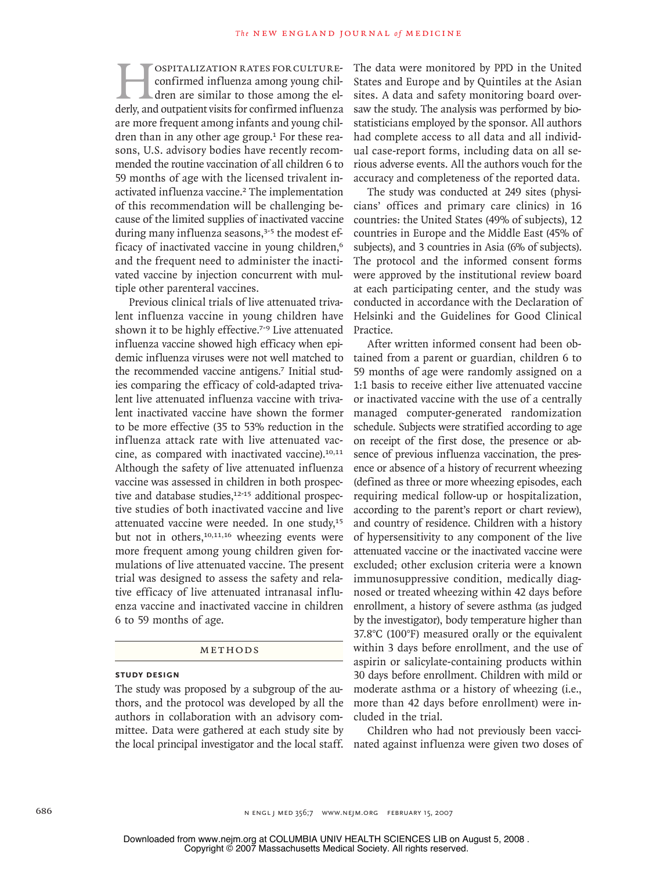**Hospitalization rates for culture-**<br>
confirmed influenza among young chil-<br>
derly, and outpatient visits for confirmed influenza confirmed influenza among young children are similar to those among the elare more frequent among infants and young children than in any other age group.<sup>1</sup> For these reasons, U.S. advisory bodies have recently recommended the routine vaccination of all children 6 to 59 months of age with the licensed trivalent inactivated influenza vaccine.<sup>2</sup> The implementation of this recommendation will be challenging because of the limited supplies of inactivated vaccine during many influenza seasons,<sup>3-5</sup> the modest efficacy of inactivated vaccine in young children,<sup>6</sup> and the frequent need to administer the inactivated vaccine by injection concurrent with multiple other parenteral vaccines.

Previous clinical trials of live attenuated trivalent influenza vaccine in young children have shown it to be highly effective.<sup>7-9</sup> Live attenuated influenza vaccine showed high efficacy when epidemic influenza viruses were not well matched to the recommended vaccine antigens.<sup>7</sup> Initial studies comparing the efficacy of cold-adapted trivalent live attenuated influenza vaccine with trivalent inactivated vaccine have shown the former to be more effective (35 to 53% reduction in the influenza attack rate with live attenuated vaccine, as compared with inactivated vaccine).<sup>10,11</sup> Although the safety of live attenuated influenza vaccine was assessed in children in both prospective and database studies,<sup>12-15</sup> additional prospective studies of both inactivated vaccine and live attenuated vaccine were needed. In one study,<sup>15</sup> but not in others,<sup>10,11,16</sup> wheezing events were more frequent among young children given formulations of live attenuated vaccine. The present trial was designed to assess the safety and relative efficacy of live attenuated intranasal influenza vaccine and inactivated vaccine in children 6 to 59 months of age.

## METHODS

## **Study Design**

The study was proposed by a subgroup of the authors, and the protocol was developed by all the authors in collaboration with an advisory committee. Data were gathered at each study site by the local principal investigator and the local staff. The data were monitored by PPD in the United States and Europe and by Quintiles at the Asian sites. A data and safety monitoring board oversaw the study. The analysis was performed by biostatisticians employed by the sponsor. All authors had complete access to all data and all individual case-report forms, including data on all serious adverse events. All the authors vouch for the accuracy and completeness of the reported data.

The study was conducted at 249 sites (physicians' offices and primary care clinics) in 16 countries: the United States (49% of subjects), 12 countries in Europe and the Middle East (45% of subjects), and 3 countries in Asia (6% of subjects). The protocol and the informed consent forms were approved by the institutional review board at each participating center, and the study was conducted in accordance with the Declaration of Helsinki and the Guidelines for Good Clinical Practice.

After written informed consent had been obtained from a parent or guardian, children 6 to 59 months of age were randomly assigned on a 1:1 basis to receive either live attenuated vaccine or inactivated vaccine with the use of a centrally managed computer-generated randomization schedule. Subjects were stratified according to age on receipt of the first dose, the presence or absence of previous influenza vaccination, the presence or absence of a history of recurrent wheezing (defined as three or more wheezing episodes, each requiring medical follow-up or hospitalization, according to the parent's report or chart review), and country of residence. Children with a history of hypersensitivity to any component of the live attenuated vaccine or the inactivated vaccine were excluded; other exclusion criteria were a known immunosuppressive condition, medically diagnosed or treated wheezing within 42 days before enrollment, a history of severe asthma (as judged by the investigator), body temperature higher than 37.8°C (100°F) measured orally or the equivalent within 3 days before enrollment, and the use of aspirin or salicylate-containing products within 30 days before enrollment. Children with mild or moderate asthma or a history of wheezing (i.e., more than 42 days before enrollment) were included in the trial.

Children who had not previously been vaccinated against influenza were given two doses of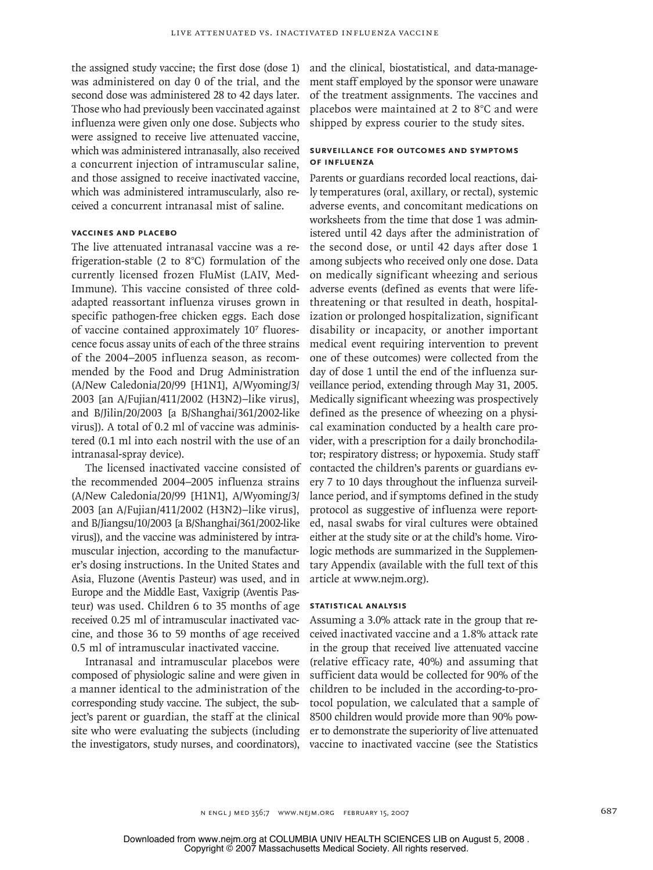the assigned study vaccine; the first dose (dose 1) was administered on day 0 of the trial, and the second dose was administered 28 to 42 days later. Those who had previously been vaccinated against influenza were given only one dose. Subjects who were assigned to receive live attenuated vaccine, which was administered intranasally, also received a concurrent injection of intramuscular saline, and those assigned to receive inactivated vaccine, which was administered intramuscularly, also received a concurrent intranasal mist of saline.

# **Vaccines and Placebo**

The live attenuated intranasal vaccine was a refrigeration-stable (2 to 8°C) formulation of the currently licensed frozen FluMist (LAIV, Med-Immune). This vaccine consisted of three coldadapted reassortant influenza viruses grown in specific pathogen-free chicken eggs. Each dose of vaccine contained approximately 107 fluorescence focus assay units of each of the three strains of the 2004–2005 influenza season, as recommended by the Food and Drug Administration (A/New Caledonia/20/99 [H1N1], A/Wyoming/3/ 2003 [an A/Fujian/411/2002 (H3N2)–like virus], and B/Jilin/20/2003 [a B/Shanghai/361/2002-like virus]). A total of 0.2 ml of vaccine was administered (0.1 ml into each nostril with the use of an intranasal-spray device).

The licensed inactivated vaccine consisted of the recommended 2004–2005 influenza strains (A/New Caledonia/20/99 [H1N1], A/Wyoming/3/ 2003 [an A/Fujian/411/2002 (H3N2)–like virus], and B/Jiangsu/10/2003 [a B/Shanghai/361/2002-like virus]), and the vaccine was administered by intramuscular injection, according to the manufacturer's dosing instructions. In the United States and Asia, Fluzone (Aventis Pasteur) was used, and in Europe and the Middle East, Vaxigrip (Aventis Pasteur) was used. Children 6 to 35 months of age received 0.25 ml of intramuscular inactivated vaccine, and those 36 to 59 months of age received 0.5 ml of intramuscular inactivated vaccine.

Intranasal and intramuscular placebos were composed of physiologic saline and were given in a manner identical to the administration of the corresponding study vaccine. The subject, the subject's parent or guardian, the staff at the clinical site who were evaluating the subjects (including the investigators, study nurses, and coordinators),

and the clinical, biostatistical, and data-management staff employed by the sponsor were unaware of the treatment assignments. The vaccines and placebos were maintained at 2 to 8°C and were shipped by express courier to the study sites.

## **Surveillance for Outcomes and Symptoms of Influenza**

Parents or guardians recorded local reactions, daily temperatures (oral, axillary, or rectal), systemic adverse events, and concomitant medications on worksheets from the time that dose 1 was administered until 42 days after the administration of the second dose, or until 42 days after dose 1 among subjects who received only one dose. Data on medically significant wheezing and serious adverse events (defined as events that were lifethreatening or that resulted in death, hospitalization or prolonged hospitalization, significant disability or incapacity, or another important medical event requiring intervention to prevent one of these outcomes) were collected from the day of dose 1 until the end of the influenza surveillance period, extending through May 31, 2005. Medically significant wheezing was prospectively defined as the presence of wheezing on a physical examination conducted by a health care provider, with a prescription for a daily bronchodilator; respiratory distress; or hypoxemia. Study staff contacted the children's parents or guardians every 7 to 10 days throughout the influenza surveillance period, and if symptoms defined in the study protocol as suggestive of influenza were reported, nasal swabs for viral cultures were obtained either at the study site or at the child's home. Virologic methods are summarized in the Supplementary Appendix (available with the full text of this article at www.nejm.org).

#### **Statistical Analysis**

Assuming a 3.0% attack rate in the group that received inactivated vaccine and a 1.8% attack rate in the group that received live attenuated vaccine (relative efficacy rate, 40%) and assuming that sufficient data would be collected for 90% of the children to be included in the according-to-protocol population, we calculated that a sample of 8500 children would provide more than 90% power to demonstrate the superiority of live attenuated vaccine to inactivated vaccine (see the Statistics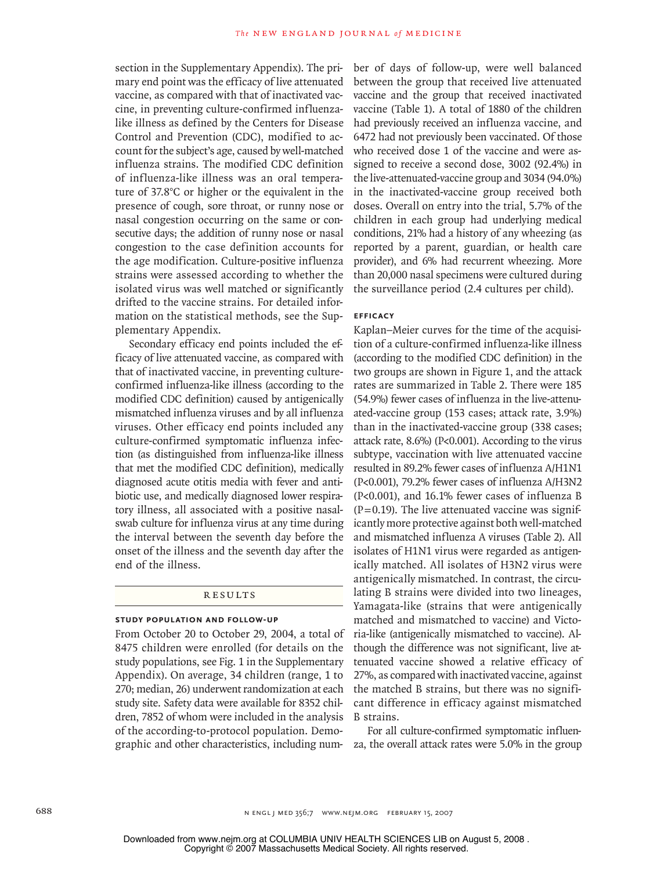section in the Supplementary Appendix). The primary end point was the efficacy of live attenuated vaccine, as compared with that of inactivated vaccine, in preventing culture-confirmed influenzalike illness as defined by the Centers for Disease Control and Prevention (CDC), modified to account for the subject's age, caused by well-matched influenza strains. The modified CDC definition of influenza-like illness was an oral temperature of 37.8°C or higher or the equivalent in the presence of cough, sore throat, or runny nose or nasal congestion occurring on the same or consecutive days; the addition of runny nose or nasal congestion to the case definition accounts for the age modification. Culture-positive influenza strains were assessed according to whether the isolated virus was well matched or significantly drifted to the vaccine strains. For detailed information on the statistical methods, see the Supplementary Appendix.

Secondary efficacy end points included the efficacy of live attenuated vaccine, as compared with that of inactivated vaccine, in preventing cultureconfirmed influenza-like illness (according to the modified CDC definition) caused by antigenically mismatched influenza viruses and by all influenza viruses. Other efficacy end points included any culture-confirmed symptomatic influenza infection (as distinguished from influenza-like illness that met the modified CDC definition), medically diagnosed acute otitis media with fever and antibiotic use, and medically diagnosed lower respiratory illness, all associated with a positive nasalswab culture for influenza virus at any time during the interval between the seventh day before the onset of the illness and the seventh day after the end of the illness.

## R esult s

### **Study Population and Follow-up**

From October 20 to October 29, 2004, a total of 8475 children were enrolled (for details on the study populations, see Fig. 1 in the Supplementary Appendix). On average, 34 children (range, 1 to 270; median, 26) underwent randomization at each study site. Safety data were available for 8352 children, 7852 of whom were included in the analysis of the according-to-protocol population. Demographic and other characteristics, including number of days of follow-up, were well balanced between the group that received live attenuated vaccine and the group that received inactivated vaccine (Table 1). A total of 1880 of the children had previously received an influenza vaccine, and 6472 had not previously been vaccinated. Of those who received dose 1 of the vaccine and were assigned to receive a second dose, 3002 (92.4%) in the live-attenuated-vaccine group and 3034 (94.0%) in the inactivated-vaccine group received both doses. Overall on entry into the trial, 5.7% of the children in each group had underlying medical conditions, 21% had a history of any wheezing (as reported by a parent, guardian, or health care provider), and 6% had recurrent wheezing. More than 20,000 nasal specimens were cultured during the surveillance period (2.4 cultures per child).

#### **Efficacy**

Kaplan–Meier curves for the time of the acquisition of a culture-confirmed influenza-like illness (according to the modified CDC definition) in the two groups are shown in Figure 1, and the attack rates are summarized in Table 2. There were 185 (54.9%) fewer cases of influenza in the live-attenuated-vaccine group (153 cases; attack rate, 3.9%) than in the inactivated-vaccine group (338 cases; attack rate, 8.6%) (P<0.001). According to the virus subtype, vaccination with live attenuated vaccine resulted in 89.2% fewer cases of influenza A/H1N1 (P<0.001), 79.2% fewer cases of influenza A/H3N2 (P<0.001), and 16.1% fewer cases of influenza B  $(P=0.19)$ . The live attenuated vaccine was significantly more protective against both well-matched and mismatched influenza A viruses (Table 2). All isolates of H1N1 virus were regarded as antigenically matched. All isolates of H3N2 virus were antigenically mismatched. In contrast, the circulating B strains were divided into two lineages, Yamagata-like (strains that were antigenically matched and mismatched to vaccine) and Victoria-like (antigenically mismatched to vaccine). Although the difference was not significant, live attenuated vaccine showed a relative efficacy of 27%, as compared with inactivated vaccine, against the matched B strains, but there was no significant difference in efficacy against mismatched B strains.

For all culture-confirmed symptomatic influenza, the overall attack rates were 5.0% in the group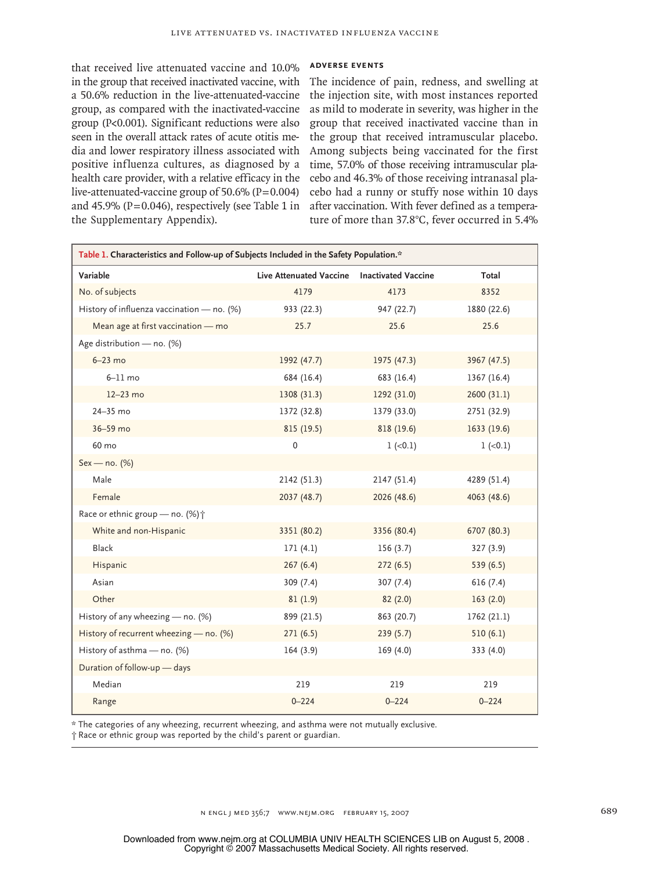that received live attenuated vaccine and 10.0% in the group that received inactivated vaccine, with a 50.6% reduction in the live-attenuated-vaccine group, as compared with the inactivated-vaccine group (P<0.001). Significant reductions were also seen in the overall attack rates of acute otitis media and lower respiratory illness associated with positive influenza cultures, as diagnosed by a health care provider, with a relative efficacy in the live-attenuated-vaccine group of  $50.6\%$  (P=0.004) and 45.9% ( $P=0.046$ ), respectively (see Table 1 in the Supplementary Appendix).

# **Adverse Events**

The incidence of pain, redness, and swelling at the injection site, with most instances reported as mild to moderate in severity, was higher in the group that received inactivated vaccine than in the group that received intramuscular placebo. Among subjects being vaccinated for the first time, 57.0% of those receiving intramuscular placebo and 46.3% of those receiving intranasal placebo had a runny or stuffy nose within 10 days after vaccination. With fever defined as a temperature of more than 37.8°C, fever occurred in 5.4%

| Table 1. Characteristics and Follow-up of Subjects Included in the Safety Population.* |                                             |             |             |  |  |
|----------------------------------------------------------------------------------------|---------------------------------------------|-------------|-------------|--|--|
| Variable                                                                               | Live Attenuated Vaccine Inactivated Vaccine |             | Total       |  |  |
| No. of subjects                                                                        | 4179                                        | 4173        | 8352        |  |  |
| History of influenza vaccination - no. (%)                                             | 933 (22.3)                                  | 947 (22.7)  | 1880 (22.6) |  |  |
| Mean age at first vaccination - mo                                                     | 25.7                                        | 25.6        | 25.6        |  |  |
| Age distribution - no. (%)                                                             |                                             |             |             |  |  |
| $6-23$ mo                                                                              | 1992 (47.7)                                 | 1975 (47.3) | 3967 (47.5) |  |  |
| $6-11$ mo                                                                              | 684 (16.4)                                  | 683 (16.4)  | 1367 (16.4) |  |  |
| $12-23$ mo                                                                             | 1308 (31.3)                                 | 1292 (31.0) | 2600 (31.1) |  |  |
| 24-35 mo                                                                               | 1372 (32.8)                                 | 1379 (33.0) | 2751 (32.9) |  |  |
| 36-59 mo                                                                               | 815 (19.5)                                  | 818 (19.6)  | 1633 (19.6) |  |  |
| 60 mo                                                                                  | $\mathbf 0$                                 | $1 (-0.1)$  | $1 (-0.1)$  |  |  |
| Sex - no. (%)                                                                          |                                             |             |             |  |  |
| Male                                                                                   | 2142 (51.3)                                 | 2147(51.4)  | 4289 (51.4) |  |  |
| Female                                                                                 | 2037 (48.7)                                 | 2026 (48.6) | 4063 (48.6) |  |  |
| Race or ethnic group - no. (%) $\dagger$                                               |                                             |             |             |  |  |
| White and non-Hispanic                                                                 | 3351 (80.2)                                 | 3356 (80.4) | 6707 (80.3) |  |  |
| Black                                                                                  | 171(4.1)                                    | 156(3.7)    | 327(3.9)    |  |  |
| Hispanic                                                                               | 267(6.4)                                    | 272(6.5)    | 539 (6.5)   |  |  |
| Asian                                                                                  | 309 (7.4)                                   | 307(7.4)    | 616(7.4)    |  |  |
| Other                                                                                  | 81(1.9)                                     | 82(2.0)     | 163(2.0)    |  |  |
| History of any wheezing - no. (%)                                                      | 899 (21.5)                                  | 863 (20.7)  | 1762 (21.1) |  |  |
| History of recurrent wheezing - no. (%)                                                | 271(6.5)                                    | 239(5.7)    | 510(6.1)    |  |  |
| History of asthma - no. (%)                                                            | 164(3.9)                                    | 169(4.0)    | 333 (4.0)   |  |  |
| Duration of follow-up - days                                                           |                                             |             |             |  |  |
| Median                                                                                 | 219                                         | 219         | 219         |  |  |
| Range                                                                                  | $0 - 224$                                   | $0 - 224$   | $0 - 224$   |  |  |

\* The categories of any wheezing, recurrent wheezing, and asthma were not mutually exclusive.

† Race or ethnic group was reported by the child's parent or guardian.

n engl j med 356;7 www.nejm.org february 15, 2007 689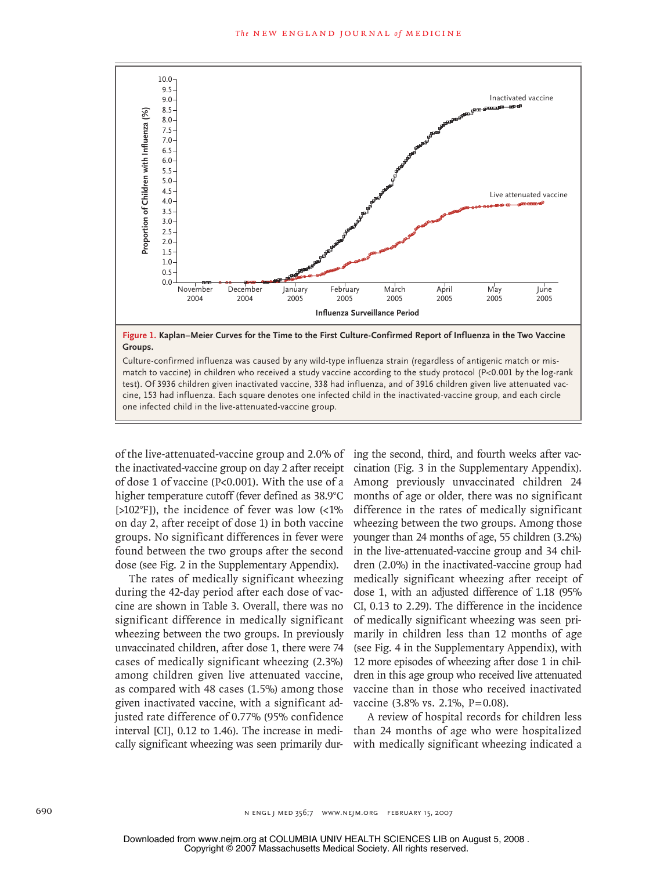

Culture-confirmed influenza was caused by any wild-type influenza strain (regardless of antigenic match or mis-<br>All process in the contributions of the contributions of the contributions of the contributions of the contrib match to vacemey in emiaten who received a stady vaceme according to the stady protocor (if soloon by the log ran<br>test). Of 3936 children given inactivated vaccine, 338 had influenza, and of 3916 children given live attenu cine, 153 had influenza. Each square denotes one infected child in the inactivated-vaccine group, and each circle<br>case infected shild in the live strengted vaccine group. match to vaccine) in children who received a study vaccine according to the study protocol (P<0.001 by the log-rank EMAIL AMALAMAN LINE ARTIST CHILLE CHE MALELLE IN THE MALELLE CHILD AND THE MALELLE CHI

Combo

of the live-attenuated-vaccine group and 2.0% of the inactivated-vaccine group on day 2 after receipt of dose 1 of vaccine  $(P< 0.001)$ . With the use of a Among previ higher temperature cutoff (fever defined as 38.9°C [>102°F]), the incidence of fever was low (<1% on day 2, after receipt of dose 1) in both vaccine groups. No significant differences in fever were found between the two groups after the second dose (see Fig. 2 in the Supplementary Appendix).

Enon

The rates of medically significant wheezing during the 42-day period after each dose of vaccine are shown in Table 3. Overall, there was no significant difference in medically significant wheezing between the two groups. In previously unvaccinated children, after dose 1, there were 74 cases of medically significant wheezing (2.3%) among children given live attenuated vaccine, as compared with 48 cases (1.5%) among those given inactivated vaccine, with a significant adjusted rate difference of 0.77% (95% confidence interval [CI], 0.12 to 1.46). The increase in medically significant wheezing was seen primarily dur-

0% of ing the second, third, and fourth weeks after vaccination (Fig. 3 in the Supplementary Appendix). Among previously unvaccinated children 24 months of age or older, there was no significant difference in the rates of medically significant wheezing between the two groups. Among those younger than 24 months of age, 55 children (3.2%) in the live-attenuated-vaccine group and 34 children (2.0%) in the inactivated-vaccine group had medically significant wheezing after receipt of dose 1, with an adjusted difference of 1.18 (95% CI, 0.13 to 2.29). The difference in the incidence of medically significant wheezing was seen primarily in children less than 12 months of age (see Fig. 4 in the Supplementary Appendix), with 12 more episodes of wheezing after dose 1 in children in this age group who received live attenuated vaccine than in those who received inactivated vaccine (3.8% vs. 2.1%, P=0.08).

> A review of hospital records for children less than 24 months of age who were hospitalized with medically significant wheezing indicated a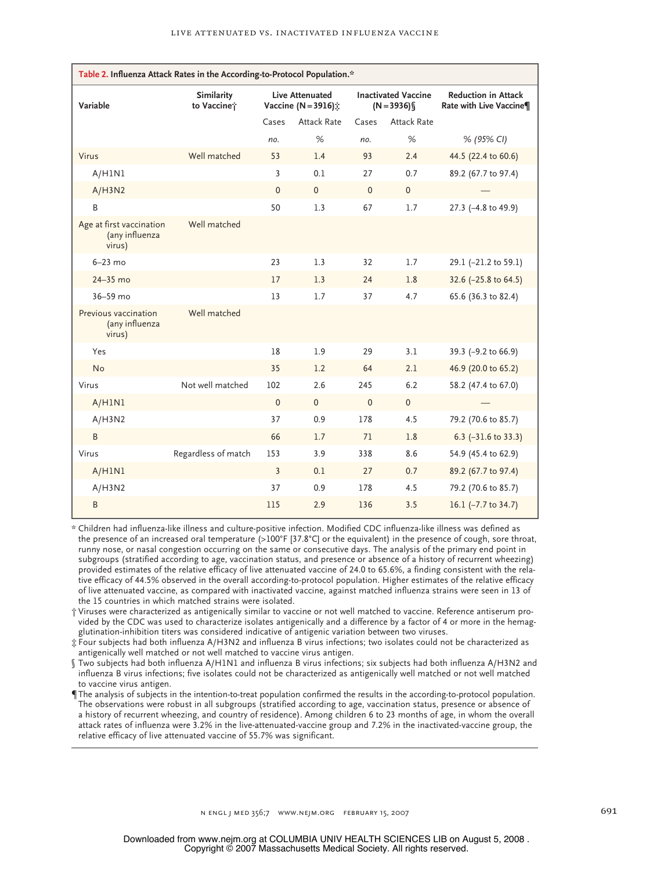| Table 2. Influenza Attack Rates in the According-to-Protocol Population.* |                                  |              |                                               |          |                                            |                                                       |
|---------------------------------------------------------------------------|----------------------------------|--------------|-----------------------------------------------|----------|--------------------------------------------|-------------------------------------------------------|
| Variable                                                                  | <b>Similarity</b><br>to Vaccine; |              | <b>Live Attenuated</b><br>Vaccine (N = 3916): |          | <b>Inactivated Vaccine</b><br>$(N = 3936)$ | <b>Reduction in Attack</b><br>Rate with Live Vaccine¶ |
|                                                                           |                                  | Cases        | <b>Attack Rate</b>                            | Cases    | <b>Attack Rate</b>                         |                                                       |
|                                                                           |                                  | no.          | %                                             | no.      | %                                          | % (95% CI)                                            |
| Virus                                                                     | Well matched                     | 53           | 1.4                                           | 93       | 2.4                                        | 44.5 (22.4 to 60.6)                                   |
| A/H1N1                                                                    |                                  | 3            | 0.1                                           | 27       | 0.7                                        | 89.2 (67.7 to 97.4)                                   |
| A/H3N2                                                                    |                                  | $\mathbf{0}$ | $\Omega$                                      | $\Omega$ | $\mathbf{0}$                               |                                                       |
| B                                                                         |                                  | 50           | 1.3                                           | 67       | 1.7                                        | 27.3 (-4.8 to 49.9)                                   |
| Age at first vaccination<br>(any influenza<br>virus)                      | Well matched                     |              |                                               |          |                                            |                                                       |
| $6-23$ mo                                                                 |                                  | 23           | 1.3                                           | 32       | 1.7                                        | 29.1 (-21.2 to 59.1)                                  |
| 24-35 mo                                                                  |                                  | 17           | 1.3                                           | 24       | 1.8                                        | 32.6 (-25.8 to 64.5)                                  |
| 36-59 mo                                                                  |                                  | 13           | 1.7                                           | 37       | 4.7                                        | 65.6 (36.3 to 82.4)                                   |
| Previous vaccination<br>(any influenza<br>virus)                          | Well matched                     |              |                                               |          |                                            |                                                       |
| Yes                                                                       |                                  | 18           | 1.9                                           | 29       | 3.1                                        | 39.3 (-9.2 to 66.9)                                   |
| No                                                                        |                                  | 35           | 1.2                                           | 64       | 2.1                                        | 46.9 (20.0 to 65.2)                                   |
| Virus                                                                     | Not well matched                 | 102          | 2.6                                           | 245      | 6.2                                        | 58.2 (47.4 to 67.0)                                   |
| A/H1N1                                                                    |                                  | $\mathbf{0}$ | $\Omega$                                      | $\Omega$ | $\mathbf{0}$                               |                                                       |
| A/H3N2                                                                    |                                  | 37           | 0.9                                           | 178      | 4.5                                        | 79.2 (70.6 to 85.7)                                   |
| B                                                                         |                                  | 66           | 1.7                                           | 71       | 1.8                                        | 6.3 $(-31.6 \text{ to } 33.3)$                        |
| Virus                                                                     | Regardless of match              | 153          | 3.9                                           | 338      | 8.6                                        | 54.9 (45.4 to 62.9)                                   |
| A/H1N1                                                                    |                                  | 3            | 0.1                                           | 27       | 0.7                                        | 89.2 (67.7 to 97.4)                                   |
| A/H3N2                                                                    |                                  | 37           | 0.9                                           | 178      | 4.5                                        | 79.2 (70.6 to 85.7)                                   |
| B                                                                         |                                  | 115          | 2.9                                           | 136      | 3.5                                        | 16.1 $(-7.7 \text{ to } 34.7)$                        |

\* Children had influenza-like illness and culture-positive infection. Modified CDC influenza-like illness was defined as the presence of an increased oral temperature (>100°F [37.8°C] or the equivalent) in the presence of cough, sore throat, runny nose, or nasal congestion occurring on the same or consecutive days. The analysis of the primary end point in subgroups (stratified according to age, vaccination status, and presence or absence of a history of recurrent wheezing) provided estimates of the relative efficacy of live attenuated vaccine of 24.0 to 65.6%, a finding consistent with the relative efficacy of 44.5% observed in the overall according-to-protocol population. Higher estimates of the relative efficacy of live attenuated vaccine, as compared with inactivated vaccine, against matched influenza strains were seen in 13 of the 15 countries in which matched strains were isolated.

† Viruses were characterized as antigenically similar to vaccine or not well matched to vaccine. Reference antiserum provided by the CDC was used to characterize isolates antigenically and a difference by a factor of 4 or more in the hemagglutination-inhibition titers was considered indicative of antigenic variation between two viruses.

‡ Four subjects had both influenza A/H3N2 and influenza B virus infections; two isolates could not be characterized as antigenically well matched or not well matched to vaccine virus antigen.

§ Two subjects had both influenza A/H1N1 and influenza B virus infections; six subjects had both influenza A/H3N2 and influenza B virus infections; five isolates could not be characterized as antigenically well matched or not well matched to vaccine virus antigen.

¶The analysis of subjects in the intention-to-treat population confirmed the results in the according-to-protocol population. The observations were robust in all subgroups (stratified according to age, vaccination status, presence or absence of a history of recurrent wheezing, and country of residence). Among children 6 to 23 months of age, in whom the overall attack rates of influenza were 3.2% in the live-attenuated-vaccine group and 7.2% in the inactivated-vaccine group, the relative efficacy of live attenuated vaccine of 55.7% was significant.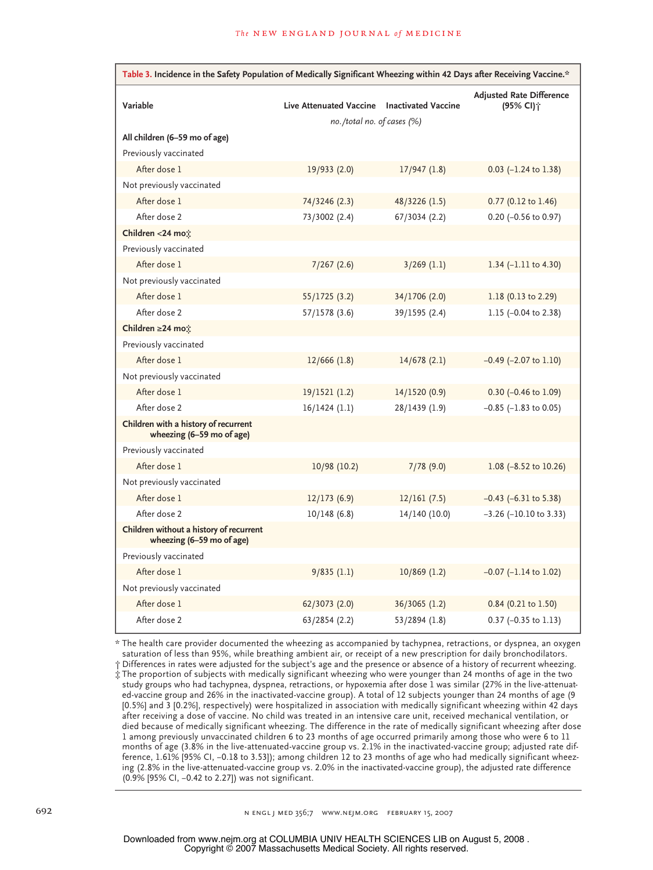| Table 3. Incidence in the Safety Population of Medically Significant Wheezing within 42 Days after Receiving Vaccine.* |                            |                            |                                                          |  |  |  |
|------------------------------------------------------------------------------------------------------------------------|----------------------------|----------------------------|----------------------------------------------------------|--|--|--|
| Variable                                                                                                               | Live Attenuated Vaccine    | <b>Inactivated Vaccine</b> | <b>Adjusted Rate Difference</b><br>(95% CI) <sup>+</sup> |  |  |  |
|                                                                                                                        | no./total no. of cases (%) |                            |                                                          |  |  |  |
| All children (6-59 mo of age)<br>Previously vaccinated                                                                 |                            |                            |                                                          |  |  |  |
| After dose 1                                                                                                           | 19/933 (2.0)               | 17/947(1.8)                | $0.03$ (-1.24 to 1.38)                                   |  |  |  |
| Not previously vaccinated                                                                                              |                            |                            |                                                          |  |  |  |
| After dose 1                                                                                                           | 74/3246 (2.3)              | 48/3226 (1.5)              | $0.77$ (0.12 to 1.46)                                    |  |  |  |
| After dose 2                                                                                                           | 73/3002 (2.4)              | 67/3034 (2.2)              | $0.20$ (-0.56 to 0.97)                                   |  |  |  |
| Children <24 mo:                                                                                                       |                            |                            |                                                          |  |  |  |
| Previously vaccinated                                                                                                  |                            |                            |                                                          |  |  |  |
| After dose 1                                                                                                           | 7/267(2.6)                 | $3/269$ (1.1)              | 1.34 $(-1.11$ to 4.30)                                   |  |  |  |
| Not previously vaccinated                                                                                              |                            |                            |                                                          |  |  |  |
| After dose 1                                                                                                           | 55/1725 (3.2)              | 34/1706 (2.0)              | $1.18$ (0.13 to 2.29)                                    |  |  |  |
| After dose 2                                                                                                           | 57/1578 (3.6)              | 39/1595 (2.4)              | 1.15 $(-0.04 \text{ to } 2.38)$                          |  |  |  |
| Children ≥24 mo:                                                                                                       |                            |                            |                                                          |  |  |  |
| Previously vaccinated                                                                                                  |                            |                            |                                                          |  |  |  |
| After dose 1                                                                                                           | $12/666$ (1.8)             | 14/678(2.1)                | $-0.49$ ( $-2.07$ to 1.10)                               |  |  |  |
| Not previously vaccinated                                                                                              |                            |                            |                                                          |  |  |  |
| After dose 1                                                                                                           | 19/1521 (1.2)              | 14/1520 (0.9)              | $0.30$ (-0.46 to 1.09)                                   |  |  |  |
| After dose 2                                                                                                           | $16/1424$ (1.1)            | 28/1439 (1.9)              | $-0.85$ ( $-1.83$ to 0.05)                               |  |  |  |
| Children with a history of recurrent<br>wheezing (6-59 mo of age)                                                      |                            |                            |                                                          |  |  |  |
| Previously vaccinated                                                                                                  |                            |                            |                                                          |  |  |  |
| After dose 1                                                                                                           | 10/98 (10.2)               | 7/78(9.0)                  | 1.08 $(-8.52 \text{ to } 10.26)$                         |  |  |  |
| Not previously vaccinated                                                                                              |                            |                            |                                                          |  |  |  |
| After dose 1                                                                                                           | 12/173(6.9)                | 12/161(7.5)                | $-0.43$ ( $-6.31$ to 5.38)                               |  |  |  |
| After dose 2                                                                                                           | 10/148(6.8)                | 14/140 (10.0)              | $-3.26$ ( $-10.10$ to 3.33)                              |  |  |  |
| Children without a history of recurrent<br>wheezing (6-59 mo of age)                                                   |                            |                            |                                                          |  |  |  |
| Previously vaccinated                                                                                                  |                            |                            |                                                          |  |  |  |
| After dose 1                                                                                                           | 9/835(1.1)                 | $10/869$ (1.2)             | $-0.07$ ( $-1.14$ to 1.02)                               |  |  |  |
| Not previously vaccinated                                                                                              |                            |                            |                                                          |  |  |  |
| After dose 1                                                                                                           | 62/3073 (2.0)              | 36/3065 (1.2)              | $0.84$ (0.21 to 1.50)                                    |  |  |  |
| After dose 2                                                                                                           | 63/2854 (2.2)              | 53/2894 (1.8)              | $0.37$ (-0.35 to 1.13)                                   |  |  |  |

\* The health care provider documented the wheezing as accompanied by tachypnea, retractions, or dyspnea, an oxygen saturation of less than 95%, while breathing ambient air, or receipt of a new prescription for daily bronchodilators.

† Differences in rates were adjusted for the subject's age and the presence or absence of a history of recurrent wheezing. ‡ The proportion of subjects with medically significant wheezing who were younger than 24 months of age in the two study groups who had tachypnea, dyspnea, retractions, or hypoxemia after dose 1 was similar (27% in the live-attenuated-vaccine group and 26% in the inactivated-vaccine group). A total of 12 subjects younger than 24 months of age (9 [0.5%] and 3 [0.2%], respectively) were hospitalized in association with medically significant wheezing within 42 days after receiving a dose of vaccine. No child was treated in an intensive care unit, received mechanical ventilation, or died because of medically significant wheezing. The difference in the rate of medically significant wheezing after dose 1 among previously unvaccinated children 6 to 23 months of age occurred primarily among those who were 6 to 11 months of age (3.8% in the live-attenuated-vaccine group vs. 2.1% in the inactivated-vaccine group; adjusted rate difference, 1.61% [95% CI, −0.18 to 3.53]); among children 12 to 23 months of age who had medically significant wheezing (2.8% in the live-attenuated-vaccine group vs. 2.0% in the inactivated-vaccine group), the adjusted rate difference (0.9% [95% CI, −0.42 to 2.27]) was not significant.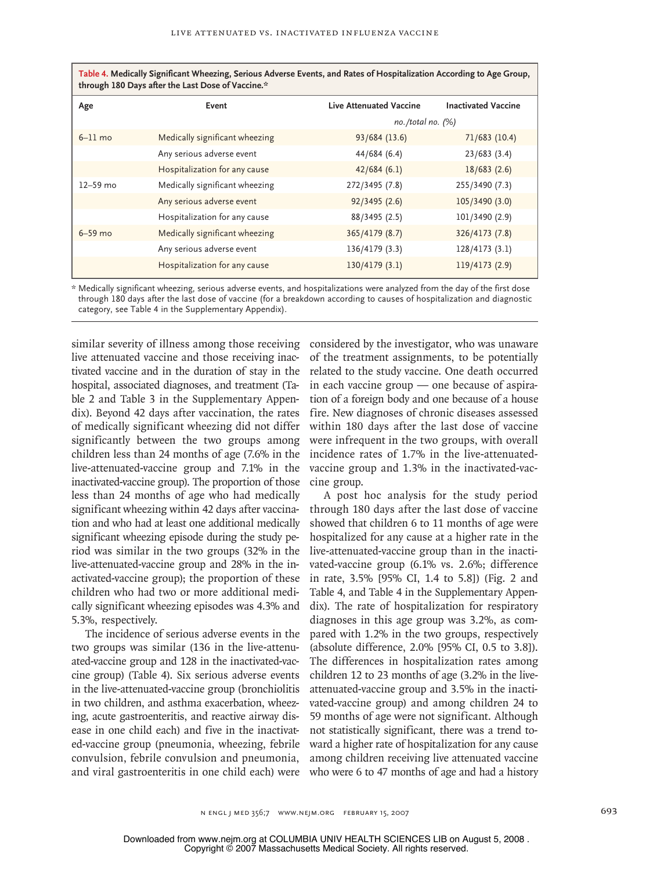| through 180 Days after the Last Dose of Vaccine. <sup>37</sup> |                                |                         |                            |  |  |
|----------------------------------------------------------------|--------------------------------|-------------------------|----------------------------|--|--|
| Age                                                            | Event                          | Live Attenuated Vaccine | <b>Inactivated Vaccine</b> |  |  |
|                                                                |                                |                         | $no. /total no.$ (%)       |  |  |
| $6-11$ mo                                                      | Medically significant wheezing | 93/684 (13.6)           | 71/683(10.4)               |  |  |
|                                                                | Any serious adverse event      | 44/684 (6.4)            | 23/683(3.4)                |  |  |
|                                                                | Hospitalization for any cause  | 42/684(6.1)             | 18/683(2.6)                |  |  |
| $12-59$ mo                                                     | Medically significant wheezing | 272/3495 (7.8)          | 255/3490 (7.3)             |  |  |
|                                                                | Any serious adverse event      | 92/3495 (2.6)           | 105/3490 (3.0)             |  |  |
|                                                                | Hospitalization for any cause  | 88/3495 (2.5)           | 101/3490 (2.9)             |  |  |
| $6-59$ mo                                                      | Medically significant wheezing | 365/4179 (8.7)          | 326/4173 (7.8)             |  |  |
|                                                                | Any serious adverse event      | 136/4179 (3.3)          | 128/4173 (3.1)             |  |  |
|                                                                | Hospitalization for any cause  | 130/4179(3.1)           | 119/4173 (2.9)             |  |  |

| Table 4. Medically Significant Wheezing, Serious Adverse Events, and Rates of Hospitalization According to Age Group, |  |
|-----------------------------------------------------------------------------------------------------------------------|--|
| through 180 Days after the Last Dose of Vaccine.*                                                                     |  |

\* Medically significant wheezing, serious adverse events, and hospitalizations were analyzed from the day of the first dose through 180 days after the last dose of vaccine (for a breakdown according to causes of hospitalization and diagnostic category, see Table 4 in the Supplementary Appendix).

similar severity of illness among those receiving live attenuated vaccine and those receiving inactivated vaccine and in the duration of stay in the hospital, associated diagnoses, and treatment (Table 2 and Table 3 in the Supplementary Appendix). Beyond 42 days after vaccination, the rates of medically significant wheezing did not differ significantly between the two groups among children less than 24 months of age (7.6% in the live-attenuated-vaccine group and 7.1% in the inactivated-vaccine group). The proportion of those less than 24 months of age who had medically significant wheezing within 42 days after vaccination and who had at least one additional medically significant wheezing episode during the study period was similar in the two groups (32% in the live-attenuated-vaccine group and 28% in the inactivated-vaccine group); the proportion of these children who had two or more additional medically significant wheezing episodes was 4.3% and 5.3%, respectively.

The incidence of serious adverse events in the two groups was similar (136 in the live-attenuated-vaccine group and 128 in the inactivated-vaccine group) (Table 4). Six serious adverse events in the live-attenuated-vaccine group (bronchiolitis in two children, and asthma exacerbation, wheezing, acute gastroenteritis, and reactive airway disease in one child each) and five in the inactivated-vaccine group (pneumonia, wheezing, febrile convulsion, febrile convulsion and pneumonia, and viral gastroenteritis in one child each) were considered by the investigator, who was unaware of the treatment assignments, to be potentially related to the study vaccine. One death occurred in each vaccine group — one because of aspiration of a foreign body and one because of a house fire. New diagnoses of chronic diseases assessed within 180 days after the last dose of vaccine were infrequent in the two groups, with overall incidence rates of 1.7% in the live-attenuatedvaccine group and 1.3% in the inactivated-vaccine group.

A post hoc analysis for the study period through 180 days after the last dose of vaccine showed that children 6 to 11 months of age were hospitalized for any cause at a higher rate in the live-attenuated-vaccine group than in the inactivated-vaccine group (6.1% vs. 2.6%; difference in rate, 3.5% [95% CI, 1.4 to 5.8]) (Fig. 2 and Table 4, and Table 4 in the Supplementary Appendix). The rate of hospitalization for respiratory diagnoses in this age group was 3.2%, as compared with 1.2% in the two groups, respectively (absolute difference, 2.0% [95% CI, 0.5 to 3.8]). The differences in hospitalization rates among children 12 to 23 months of age (3.2% in the liveattenuated-vaccine group and 3.5% in the inactivated-vaccine group) and among children 24 to 59 months of age were not significant. Although not statistically significant, there was a trend toward a higher rate of hospitalization for any cause among children receiving live attenuated vaccine who were 6 to 47 months of age and had a history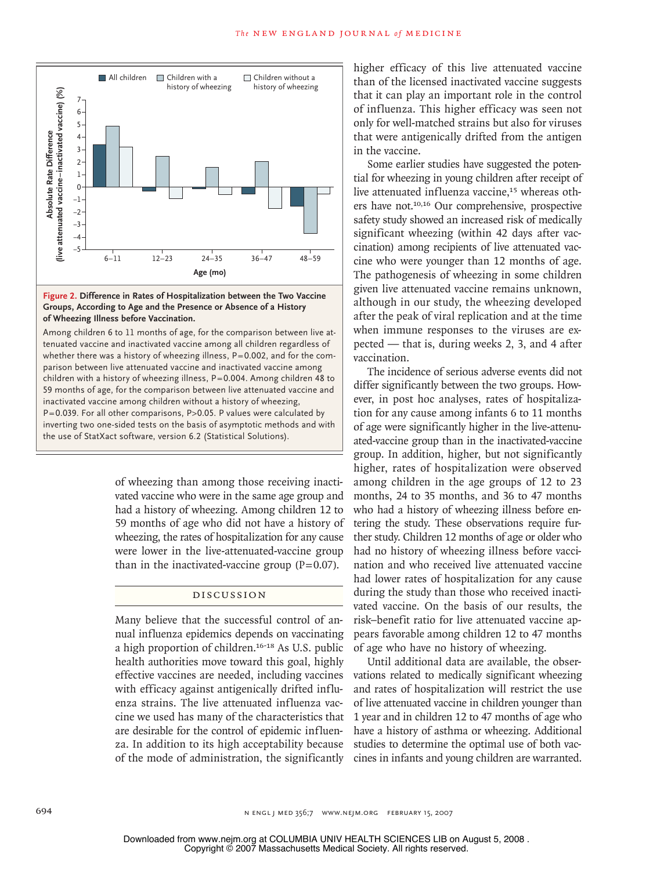

## AUTHOR: Belshe **of Wheezing Illness before Vaccination. Figure 2. Difference in Rates of Hospitalization between the Two Vaccine Groups, According to Age and the Presence or Absence of a History**

parison between live attenuated vaccine and inactivated vaccine among en 6 to 11 mon mering the end stata tests on the stats of asymptone memory<br>the use of StatXact software, version 6.2 (Statistical Solutions). ematica vaceme and macuvatica vaceme among an ematien regardless of whether there was a history of wheezing illness,  $P = 0.002$ , and for the comtenuated vaccine and inactivated vaccine among all children regardless of Combo Enon children with a history of wheezing illness, P=0.004. Among children 48 to  59 months of age, for the comparison between live attenuated vaccine and inactivated vaccine among children without a history of wheezing, **!' &)!!,** P=0.039. For all other comparisons, P>0.05. P values were calculated by Among children 6 to 11 months of age, for the comparison between live atinverting two one-sided tests on the basis of asymptotic methods and with

> of wheezing than among those receiving inactivated vaccine who were in the same age group and had a history of wheezing. Among children 12 to 59 months of age who did not have a history of wheezing, the rates of hospitalization for any cause were lower in the live-attenuated-vaccine group than in the inactivated-vaccine group  $(P=0.07)$ .

# Discussion

Many believe that the successful control of annual influenza epidemics depends on vaccinating a high proportion of children.16-18 As U.S. public health authorities move toward this goal, highly effective vaccines are needed, including vaccines with efficacy against antigenically drifted influenza strains. The live attenuated influenza vaccine we used has many of the characteristics that are desirable for the control of epidemic influenza. In addition to its high acceptability because of the mode of administration, the significantly higher efficacy of this live attenuated vaccine than of the licensed inactivated vaccine suggests that it can play an important role in the control of influenza. This higher efficacy was seen not only for well-matched strains but also for viruses that were antigenically drifted from the antigen in the vaccine.

Some earlier studies have suggested the potential for wheezing in young children after receipt of live attenuated influenza vaccine,<sup>15</sup> whereas others have not.10,16 Our comprehensive, prospective safety study showed an increased risk of medically significant wheezing (within 42 days after vaccination) among recipients of live attenuated vaccine who were younger than 12 months of age. The pathogenesis of wheezing in some children given live attenuated vaccine remains unknown, although in our study, the wheezing developed after the peak of viral replication and at the time when immune responses to the viruses are expected — that is, during weeks 2, 3, and 4 after vaccination.

The incidence of serious adverse events did not differ significantly between the two groups. However, in post hoc analyses, rates of hospitalization for any cause among infants 6 to 11 months of age were significantly higher in the live-attenuated-vaccine group than in the inactivated-vaccine group. In addition, higher, but not significantly higher, rates of hospitalization were observed among children in the age groups of 12 to 23 months, 24 to 35 months, and 36 to 47 months who had a history of wheezing illness before entering the study. These observations require further study. Children 12 months of age or older who had no history of wheezing illness before vaccination and who received live attenuated vaccine had lower rates of hospitalization for any cause during the study than those who received inactivated vaccine. On the basis of our results, the risk–benefit ratio for live attenuated vaccine appears favorable among children 12 to 47 months of age who have no history of wheezing.

Until additional data are available, the observations related to medically significant wheezing and rates of hospitalization will restrict the use of live attenuated vaccine in children younger than 1 year and in children 12 to 47 months of age who have a history of asthma or wheezing. Additional studies to determine the optimal use of both vaccines in infants and young children are warranted.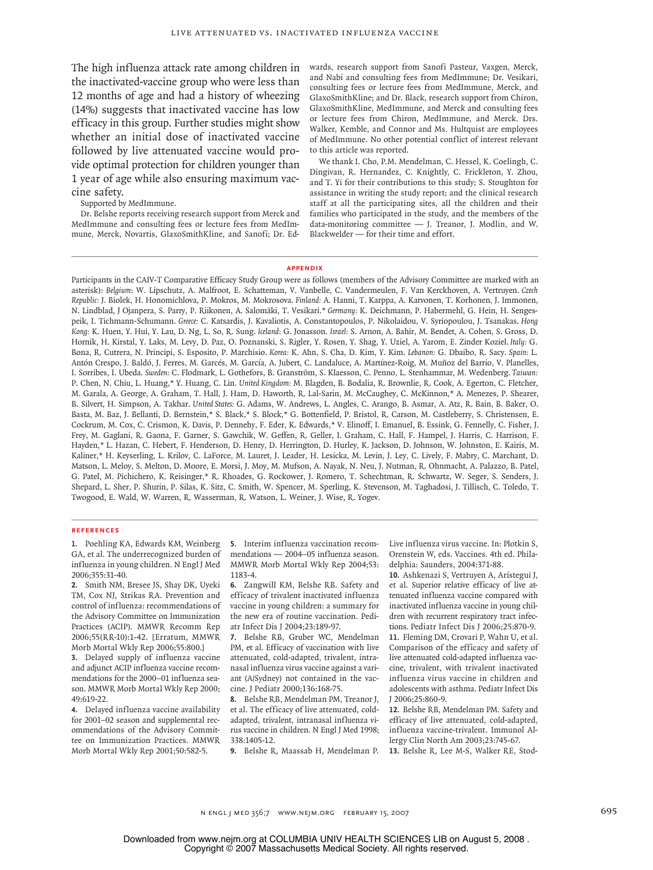The high influenza attack rate among children in the inactivated-vaccine group who were less than 12 months of age and had a history of wheezing (14%) suggests that inactivated vaccine has low efficacy in this group. Further studies might show whether an initial dose of inactivated vaccine followed by live attenuated vaccine would provide optimal protection for children younger than 1 year of age while also ensuring maximum vaccine safety.

Supported by MedImmune.

Dr. Belshe reports receiving research support from Merck and MedImmune and consulting fees or lecture fees from MedImmune, Merck, Novartis, GlaxoSmithKline, and Sanofi; Dr. Edwards, research support from Sanofi Pasteur, Vaxgen, Merck, and Nabi and consulting fees from MedImmune; Dr. Vesikari, consulting fees or lecture fees from MedImmune, Merck, and GlaxoSmithKline; and Dr. Black, research support from Chiron, GlaxoSmithKline, MedImmune, and Merck and consulting fees or lecture fees from Chiron, MedImmune, and Merck. Drs. Walker, Kemble, and Connor and Ms. Hultquist are employees of MedImmune. No other potential conflict of interest relevant to this article was reported.

We thank I. Cho, P.M. Mendelman, C. Hessel, K. Coelingh, C. Dingivan, R. Hernandez, C. Knightly, C. Frickleton, Y. Zhou, and T. Yi for their contributions to this study; S. Stoughton for assistance in writing the study report; and the clinical research staff at all the participating sites, all the children and their families who participated in the study, and the members of the data-monitoring committee — J. Treanor, J. Modlin, and W. Blackwelder — for their time and effort.

#### **Appendix**

Participants in the CAIV-T Comparative Efficacy Study Group were as follows (members of the Advisory Committee are marked with an asterisk): *Belgium*: W. Lipschutz, A. Malfroot, E. Schatteman, V. Vanbelle, C. Vandermeulen, F. Van Kerckhoven, A. Vertruyen. *Czech Republic:* J. Biolek, H. Honomichlova, P. Mokros, M. Mokrosova. *Finland:* A. Hanni, T. Karppa, A. Karvonen, T. Korhonen, J. Immonen, N. Lindblad, J Ojanpera, S. Parry, P. Riikonen, A. Salomäki, T. Vesikari.\* *Germany:* K. Deichmann, P. Habermehl, G. Hein, H. Sengespeik, I. Tichmann-Schumann. *Greece:* C. Katsardis, J. Kavaliotis, A. Constantopoulos, P. Nikolaidou, V. Syriopoulou, J. Tsanakas. *Hong Kong:* K. Huen, Y. Hui, Y. Lau, D. Ng, L. So, R. Sung. *Iceland:* G. Jonasson. *Israel:* S. Arnon, A. Bahir, M. Bendet, A. Cohen, S. Gross, D. Hornik, H. Kirstal, Y. Laks, M. Levy, D. Paz, O. Poznanski, S. Rigler, Y. Rosen, Y. Shag, Y. Uziel, A. Yarom, E. Zinder Koziel. *Italy:* G. Bona, R. Cutrera, N. Principi, S. Esposito, P. Marchisio. *Korea:* K. Ahn, S. Cha, D. Kim, Y. Kim. *Lebanon:* G. Dbaibo, R. Sacy. *Spain:* L. Antón Crespo, J. Baldó, J. Ferres, M. Garcés, M. García, A. Jubert, C. Landaluce, A. Martínez-Roig, M. Muñoz del Barrio, V. Planelles, I. Sorribes, I. Ubeda. *Sweden:* C. Flodmark, L. Gothefors, B. Granström, S. Klaesson, C. Penno, L. Stenhammar, M. Wedenberg. *Taiwan:* P. Chen, N. Chiu, L. Huang,\* Y. Huang, C. Lin. *United Kingdom:* M. Blagden, B. Bodalia, R. Brownlie, R. Cook, A. Egerton, C. Fletcher, M. Garala, A. George, A. Graham, T. Hall, J. Ham, D. Haworth, R. Lal-Sarin, M. McCaughey, C. McKinnon,\* A. Menezes, P. Shearer, B. Silvert, H. Simpson, A. Takhar. *United States:* G. Adams, W. Andrews, L. Angles, C. Arango, B. Asmar, A. Atz, R. Bain, B. Baker, O. Basta, M. Baz, J. Bellanti, D. Bernstein,\* S. Black,\* S. Block,\* G. Bottenfield, P. Bristol, R. Carson, M. Castleberry, S. Christensen, E. Cockrum, M. Cox, C. Crismon, K. Davis, P. Dennehy, F. Eder, K. Edwards,\* V. Elinoff, I. Emanuel, B. Essink, G. Fennelly, C. Fisher, J. Frey, M. Gaglani, R. Gaona, F. Garner, S. Gawchik, W. Geffen, R. Geller, I. Graham, C. Hall, F. Hampel, J. Harris, C. Harrison, F. Hayden,\* L. Hazan, C. Hebert, F. Henderson, D. Henry, D. Herrington, D. Hurley, K. Jackson, D. Johnson, W. Johnston, E. Kairis, M. Kaliner,\* H. Keyserling, L. Krilov, C. LaForce, M. Lauret, J. Leader, H. Lesicka, M. Levin, J. Ley, C. Lively, F. Mabry, C. Marchant, D. Matson, L. Meloy, S. Melton, D. Moore, E. Morsi, J. Moy, M. Mufson, A. Nayak, N. Neu, J. Nutman, R. Ohnmacht, A. Palazzo, B. Patel, G. Patel, M. Pichichero, K. Reisinger,\* R. Rhoades, G. Rockower, J. Romero, T. Schechtman, R. Schwartz, W. Seger, S. Senders, J. Shepard, L. Sher, P. Shurin, P. Silas, K. Sitz, C. Smith, W. Spencer, M. Sperling, K. Stevenson, M. Taghadosi, J. Tillisch, C. Toledo, T. Twogood, E. Wald, W. Warren, R. Wasserman, R. Watson, L. Weiner, J. Wise, R. Yogev.

#### **References**

1. Poehling KA, Edwards KM, Weinberg GA, et al. The underrecognized burden of influenza in young children. N Engl J Med 2006;355:31-40.

2. Smith NM, Bresee JS, Shay DK, Uyeki TM, Cox NJ, Strikas RA. Prevention and control of influenza: recommendations of the Advisory Committee on Immunization Practices (ACIP). MMWR Recomm Rep 2006;55(RR-10):1-42. [Erratum, MMWR Morb Mortal Wkly Rep 2006;55:800.]

Delayed supply of influenza vaccine **3.** and adjunct ACIP influenza vaccine recommendations for the 2000–01 influenza season. MMWR Morb Mortal Wkly Rep 2000; 49:619-22.

Delayed influenza vaccine availability **4.** for 2001–02 season and supplemental recommendations of the Advisory Committee on Immunization Practices. MMWR Morb Mortal Wkly Rep 2001;50:582-5.

**5.** Interim influenza vaccination recommendations — 2004–05 influenza season. MMWR Morb Mortal Wkly Rep 2004;53: 1183-4.

Zangwill KM, Belshe RB. Safety and **6.** efficacy of trivalent inactivated influenza vaccine in young children: a summary for the new era of routine vaccination. Pediatr Infect Dis J 2004;23:189-97.

7. Belshe RB, Gruber WC, Mendelman PM, et al. Efficacy of vaccination with live attenuated, cold-adapted, trivalent, intranasal influenza virus vaccine against a variant (A/Sydney) not contained in the vaccine. J Pediatr 2000;136:168-75.

Belshe RB, Mendelman PM, Treanor J, **8.** et al. The efficacy of live attenuated, coldadapted, trivalent, intranasal influenza virus vaccine in children. N Engl J Med 1998; 338:1405-12.

Belshe R, Maassab H, Mendelman P. **9.**

Live influenza virus vaccine. In: Plotkin S, Orenstein W, eds. Vaccines. 4th ed. Philadelphia: Saunders, 2004:371-88.

Ashkenazi S, Vertruyen A, Arístegui J, **10.** et al. Superior relative efficacy of live attenuated influenza vaccine compared with inactivated influenza vaccine in young children with recurrent respiratory tract infections. Pediatr Infect Dis J 2006;25:870-9. 11. Fleming DM, Crovari P, Wahn U, et al. Comparison of the efficacy and safety of live attenuated cold-adapted influenza vaccine, trivalent, with trivalent inactivated influenza virus vaccine in children and adolescents with asthma. Pediatr Infect Dis J 2006;25:860-9.

12. Belshe RB, Mendelman PM. Safety and efficacy of live attenuated, cold-adapted, influenza vaccine-trivalent. Immunol Allergy Clin North Am 2003;23:745-67.

13. Belshe R, Lee M-S, Walker RE, Stod-